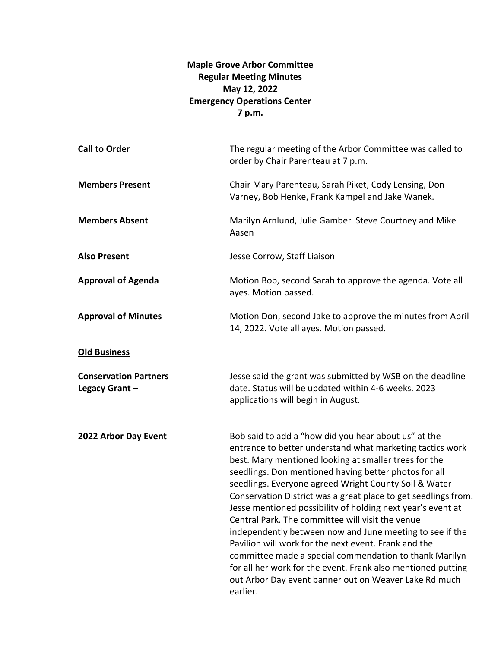## **Maple Grove Arbor Committee Regular Meeting Minutes May 12, 2022 Emergency Operations Center 7 p.m.**

| <b>Call to Order</b>                          | The regular meeting of the Arbor Committee was called to<br>order by Chair Parenteau at 7 p.m.                                                                                                                                                                                                                                                                                                                                                                                                                                                                                                                                                                                                                                                                                                       |
|-----------------------------------------------|------------------------------------------------------------------------------------------------------------------------------------------------------------------------------------------------------------------------------------------------------------------------------------------------------------------------------------------------------------------------------------------------------------------------------------------------------------------------------------------------------------------------------------------------------------------------------------------------------------------------------------------------------------------------------------------------------------------------------------------------------------------------------------------------------|
| <b>Members Present</b>                        | Chair Mary Parenteau, Sarah Piket, Cody Lensing, Don<br>Varney, Bob Henke, Frank Kampel and Jake Wanek.                                                                                                                                                                                                                                                                                                                                                                                                                                                                                                                                                                                                                                                                                              |
| <b>Members Absent</b>                         | Marilyn Arnlund, Julie Gamber Steve Courtney and Mike<br>Aasen                                                                                                                                                                                                                                                                                                                                                                                                                                                                                                                                                                                                                                                                                                                                       |
| <b>Also Present</b>                           | Jesse Corrow, Staff Liaison                                                                                                                                                                                                                                                                                                                                                                                                                                                                                                                                                                                                                                                                                                                                                                          |
| <b>Approval of Agenda</b>                     | Motion Bob, second Sarah to approve the agenda. Vote all<br>ayes. Motion passed.                                                                                                                                                                                                                                                                                                                                                                                                                                                                                                                                                                                                                                                                                                                     |
| <b>Approval of Minutes</b>                    | Motion Don, second Jake to approve the minutes from April<br>14, 2022. Vote all ayes. Motion passed.                                                                                                                                                                                                                                                                                                                                                                                                                                                                                                                                                                                                                                                                                                 |
| <b>Old Business</b>                           |                                                                                                                                                                                                                                                                                                                                                                                                                                                                                                                                                                                                                                                                                                                                                                                                      |
| <b>Conservation Partners</b><br>Legacy Grant- | Jesse said the grant was submitted by WSB on the deadline<br>date. Status will be updated within 4-6 weeks. 2023<br>applications will begin in August.                                                                                                                                                                                                                                                                                                                                                                                                                                                                                                                                                                                                                                               |
| 2022 Arbor Day Event                          | Bob said to add a "how did you hear about us" at the<br>entrance to better understand what marketing tactics work<br>best. Mary mentioned looking at smaller trees for the<br>seedlings. Don mentioned having better photos for all<br>seedlings. Everyone agreed Wright County Soil & Water<br>Conservation District was a great place to get seedlings from.<br>Jesse mentioned possibility of holding next year's event at<br>Central Park. The committee will visit the venue<br>independently between now and June meeting to see if the<br>Pavilion will work for the next event. Frank and the<br>committee made a special commendation to thank Marilyn<br>for all her work for the event. Frank also mentioned putting<br>out Arbor Day event banner out on Weaver Lake Rd much<br>earlier. |